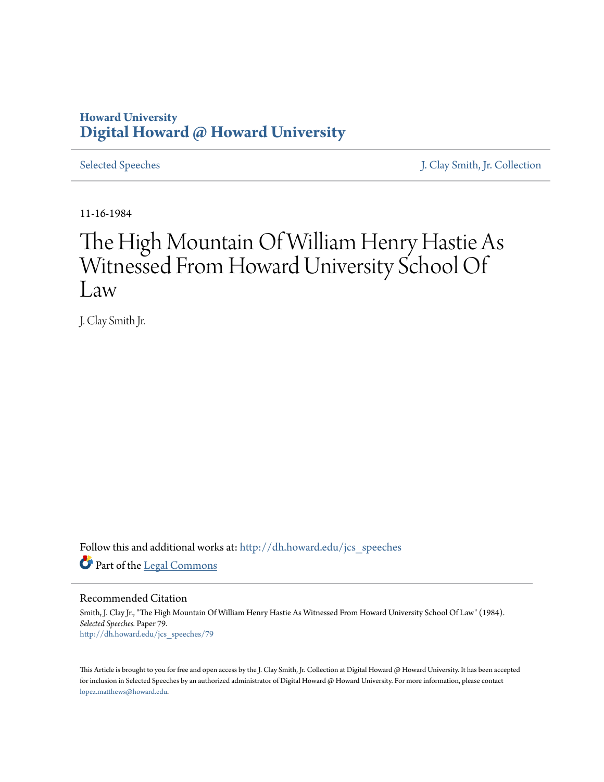### **Howard University [Digital Howard @ Howard University](http://dh.howard.edu?utm_source=dh.howard.edu%2Fjcs_speeches%2F79&utm_medium=PDF&utm_campaign=PDFCoverPages)**

[Selected Speeches](http://dh.howard.edu/jcs_speeches?utm_source=dh.howard.edu%2Fjcs_speeches%2F79&utm_medium=PDF&utm_campaign=PDFCoverPages) [J. Clay Smith, Jr. Collection](http://dh.howard.edu/jcsmith?utm_source=dh.howard.edu%2Fjcs_speeches%2F79&utm_medium=PDF&utm_campaign=PDFCoverPages)

11-16-1984

## The High Mountain Of William Henry Hastie As Witnessed From Howard University School Of Law

J. Clay Smith Jr.

Follow this and additional works at: [http://dh.howard.edu/jcs\\_speeches](http://dh.howard.edu/jcs_speeches?utm_source=dh.howard.edu%2Fjcs_speeches%2F79&utm_medium=PDF&utm_campaign=PDFCoverPages) Part of the [Legal Commons](http://network.bepress.com/hgg/discipline/502?utm_source=dh.howard.edu%2Fjcs_speeches%2F79&utm_medium=PDF&utm_campaign=PDFCoverPages)

Recommended Citation

Smith, J. Clay Jr., "The High Mountain Of William Henry Hastie As Witnessed From Howard University School Of Law" (1984). *Selected Speeches.* Paper 79. [http://dh.howard.edu/jcs\\_speeches/79](http://dh.howard.edu/jcs_speeches/79?utm_source=dh.howard.edu%2Fjcs_speeches%2F79&utm_medium=PDF&utm_campaign=PDFCoverPages)

This Article is brought to you for free and open access by the J. Clay Smith, Jr. Collection at Digital Howard @ Howard University. It has been accepted for inclusion in Selected Speeches by an authorized administrator of Digital Howard @ Howard University. For more information, please contact [lopez.matthews@howard.edu.](mailto:lopez.matthews@howard.edu)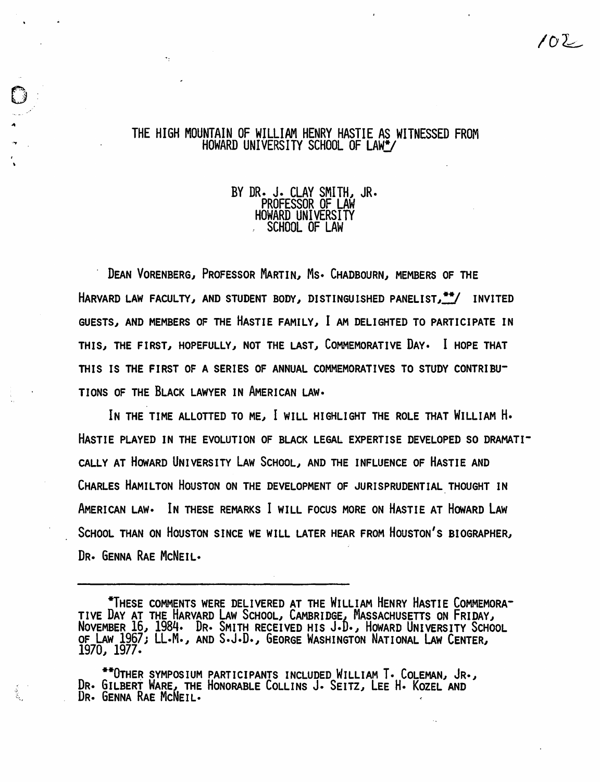# THE HIGH MOUNTAIN OF WILLIAM HENRY HASTIE AS WITNESSED FROM HOWARD UNIVERSITY SCHOOL OF LAW\*/

<u>្</u> .<br>م .:  $\frac{1}{2}$  $\mathcal{Y}=\mathcal{Y}$ 

# BY DR. J. CLAY SMITH, JR.<br>PROFESSOR OF LAW<br>HOWARD UNIVERSITY<br>SCHOOL OF LAW

DEAN VORENBERG, PROFESSOR MARTIN, Ms. CHADBOURN, MEMBERS OF THE HARVARD LAW FACULTY, AND STUDENT BODY, DISTINGUISHED PANELIST, \*\*/ INVITED GUESTS, AND MEMBERS OF THE HASTIE FAMILY, I AM DELIGHTED TO PARTICIPATE IN THIS, THE FIRST, HOPEFULLY, NOT THE LAST, COMMEMORATIVE DAY. I HOPE THAT THIS IS THE FIRST OF A SERIES OF ANNUAL COMMEMORATIVES TO STUDY CONTRIBU-TIONS OF THE BLACK LAWYER IN AMERICAN LAW·

IN THE TIME ALLOTTED TO ME, I WILL HIGHLIGHT THE ROLE THAT WILLIAM H. HASTIE PLAYED IN THE EVOLUTION OF BLACK LEGAL EXPERTISE DEVELOPED SO DRAMATI-CALLY AT HOWARD UNIVERSITY LAW SCHOOL, AND THE INFLUENCE OF HASTIE AND CHARLES HAMILTON HOUSTON ON THE DEVELOPMENT OF JURISPRUDENTIAL THOUGHT IN AMERICAN LAW· IN THESE REMARKS I WILL FOCUS MORE ON HASTIE AT HOWARD LAW SCHOOL THAN ON HOUSTON SINCE WE WILL LATER HEAR FROM HOUSTON'S BIOGRAPHER} DR. GENNA RAE McNEIL.

 $102 -$ 

<sup>\*</sup>THESE COMMENTS WERE DELIVERED AT THE WILLIAM HENRY HASTIE COMMEMORA-TIVE DAY AT THE HARVARD LAW SCHOOL, CAMBRIDGE, MASSACHUSETTS ON FRIDAY, NOVEMBER 16~ 1984. DR. SMITH RECEIVED HIS J.D.~ HOWARD UNIVERSITY SCHOOL OF LAW 1967; LL.M., AND S.J.D., GEORGE WASHINGTON NATIONAL LAW CENTER, 1970~ 1977.

<sup>\*\*</sup>OTHER SYMPOSIUM PARTICIPANTS INCLUDED WILLIAM T. COLEMAN, JR., DR. GILBERT WARE, THE HONORABLE COLLINS J. SEITZ, LEE H. KOZEL AND DR. GENNA RAE MCNEIL.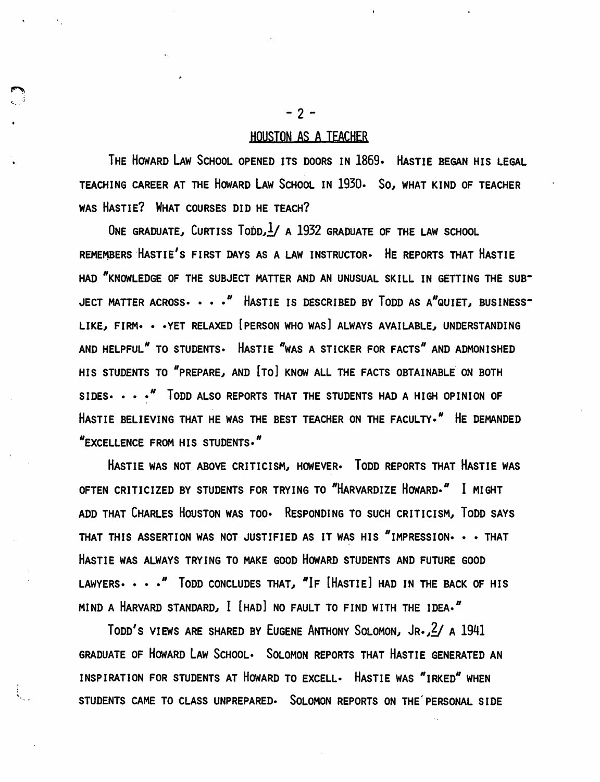#### HOUSTON AS A TEACHER

THE HOWARD LAW SCHOOL OPENED ITS DOORS IN 1869. HASTIE BEGAN HIS LEGAL TEACHING CAREER AT THE HOWARD LAW SCHOOL IN 1930. *SOl* WHAT KIND OF TEACHER WAS HASTIE? WHAT COURSES DID HE TEACH?

ONE GRADUATE, CURTISS  $T_{\text{ODD}}/1$  a 1932 graduate of the Law school REMEMBERS 'HASTIE'S FIRST DAYS AS A LAW INSTRUCTOR- HE REPORTS THAT HASTIE HAD "KNOWLEDGE OF THE SUBJECT MATTER AND AN UNUSUAL SKILL IN GETTING THE SUB-JECT MATTER ACROSS  $\cdots$  <sup>"</sup> HASTIE IS DESCRIBED BY TODD AS A"QUIET, BUSINESS-LIKE, FIRM. • · YET RELAXED [PERSON WHO WAS] ALWAYS AVAILABLE, UNDERSTANDING AND HELPFUL" TO STUDENTS. HASTIE "WAS A STICKER FOR FACTS" AND ADMONISHED HIS STUDENTS TO "PREPARE, AND [TO] KNOW ALL THE FACTS OBTAINABLE ON BOTH SIDES •• • • <sup>*N*</sup> TODD ALSO REPORTS THAT THE STUDENTS HAD A HIGH OPINION OF HASTIE BELIEVING THAT HE WAS THE BEST TEACHER ON THE FACULTY." HE DEMANDED NEXCELLENCE FROM HIS STUDENTS."

HASTIE WAS NOT ABOVE CRITICISM, HOWEVER. TODD REPORTS THAT HASTIE WAS OFTEN CRITICIZED BY STUDENTS FOR TRYING TO "HARVARDIZE HOWARD." I MIGHT ADD THAT CHARLES HOUSTON WAS TOO. RESPONDING TO SUCH CRITICISM, TODD SAYS THAT THIS ASSERTION WAS NOT JUSTIFIED AS IT WAS HIS "IMPRESSION. . . THAT HASTIE WAS ALWAYS TRYING TO MAKE GOOD HOWARD STUDENTS AND FUTURE GOOD LAWYERS.  $\cdots$  " TODD CONCLUDES THAT, "IF [HASTIE] HAD IN THE BACK OF HIS MIND A HARVARD STANDARD, I [HAD] NO FAULT TO FIND WITH THE IDEA."

TODD'S VIEWS ARE SHARED BY EUGENE ANTHONY SOLOMON, JR., 2/ A 1941 GRADUATE OF HOWARD LAW SCHOOL. SOLOMON REPORTS THAT HASTIE GENERATED AN INSPIRATION FOR STUDENTS AT HOWARD TO EXCELL. HASTIE WAS "IRKED" WHEN STUDENTS CAME TO CLASS UNPREPARED- SOLOMON REPORTS ON THE'PERSONAL SIDE

 $-2 -$ 

 $\mathbf{v}_\mathrm{eff}$   $\mathbf{v}_\mathrm{eff}$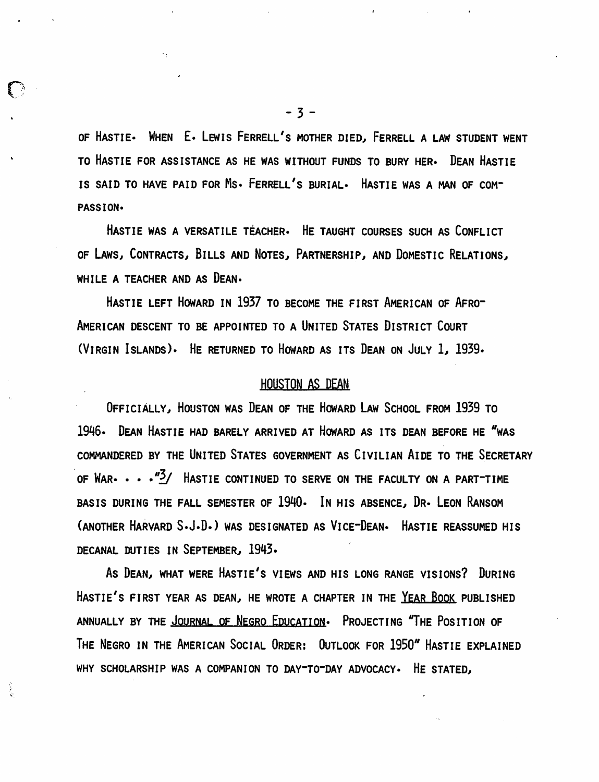OF HASTIE. WHEN E. LEWIS FERRELL'S MOTHER DIED. FERRELL A LAW STUDENT WENT TO HASTIE FOR ASSISTANCE AS HE WAS WITHOUT FUNDS TO BURY HER- DEAN HASTIE IS SAID TO HAVE PAID FOR Ms. FERRELL'S BURIAL· HASTIE WAS A MAN OF COM-PASSION·

HASTIE WAS A VERSATILE TÉACHER. HE TAUGHT COURSES SUCH AS CONFLICT OF LAWS, CONTRACTS, BILLS AND NOTES, PARTNERSHIP, AND DOMESTIC RELATIONS. WHILE A TEACHER AND AS DEAN.

HASTIE LEFT HOWARD IN 1937 TO BECOME THE FIRST AMERICAN OF AFRO-AMERICAN DESCENT TO BE APPOINTED TO A UNITED STATES DISTRICT COURT (VIRGIN ISLANDS). HE RETURNED TO HOWARD AS ITS DEAN ON JULY *11 1939.* 

#### HOUSTON AS DEAN

OFFICIALLY, HOUSTON WAS DEAN OF THE HOWARD LAW SCHOOL FROM 1939 TO 1946. DEAN HASTIE HAD BARELY ARRIVED AT HOWARD AS ITS DEAN BEFORE HE "WAS COMMANDERED BY THE UNITED STATES GOVERNMENT AS CIVILIAN AIDE TO THE SECRETARY OF WAR-  $\cdots$   $\frac{m}{2}$ / Hastie continued to serve on the faculty on a part-time BASIS DURING THE FALL SEMESTER OF 1940. IN HIS ABSENCE, DR. LEON RANSOM (ANOTHER HARVARD S.J.D.) WAS DESIGNATED AS VICE-DEAN- HASTIE REASSUMED HIS DECANAL DUTIES IN SEPTEMBER, 1943.

As DEAN, WHAT WERE HASTIE'S VIEWS AND HIS LONG RANGE VISIONS? DURING HASTIE'S FIRST YEAR AS DEAN, HE WROTE A CHAPTER IN THE YEAR BOOK PUBLISHED ANNUALLY BY THE JOURNAL OF NEGRO EDUCATION. PROJECTING "THE POSITION OF THE NEGRO IN THE AMERICAN SOCIAL ORDER: OUTLOOK FOR 1950" HASTIE EXPLAINED WHY SCHOLARSHIP WAS A COMPANION TO DAY-TO-DAY ADVOCACY. HE STATED.

o

Ş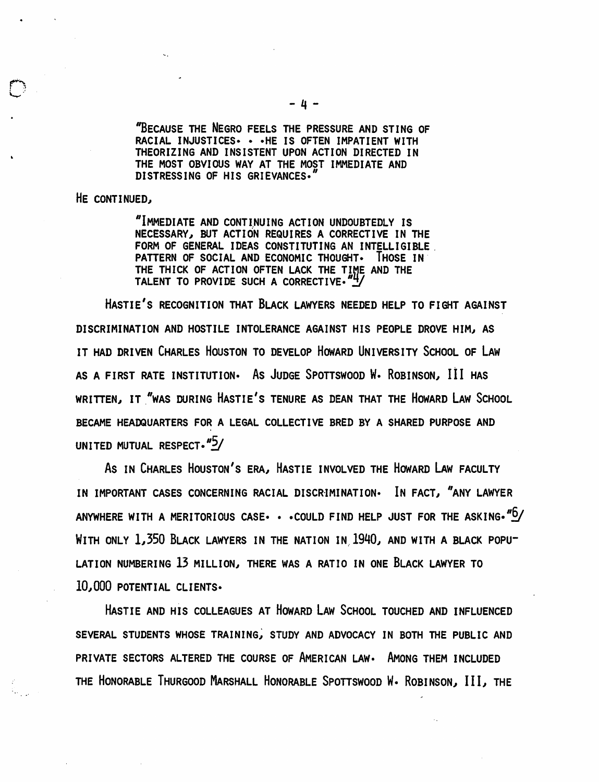"BECAUSE THE NEGRO FEELS THE PRESSURE AND STING OF RACIAL INJUSTICES· • ·HE IS OFTEN IMPATIENT WITH THEORIZING AND INSISTENT UPON ACTION DIRECTED IN THE MOST OBVIOUS WAY AT THE MOST IMMEDIATE AND DISTRESSING OF HIS GRIEVANCES.

HE CONTINUED.

 $\overline{\mathbb{C}}$ 

"IMMEDIATE AND CONTINUING ACTION UNDOUBTEDLY IS NECESSARY, BUT ACTION REQUIRES A CORRECTIVE IN THE FORM OF GENERAL IDEAS CONSTITUTING AN INTELLIGIBLE PATTERN OF SOCIAL AND ECONOMIC THOUGHT. THOSE IN THE THICK OF ACTION OFTEN LACK THE TIME AND THE TALENT TO PROVIDE SUCH A CORRECTIVE."

HASTIE'S RECOGNITION THAT BLACK LAWYERS NEEDED HELP TO FIGHT AGAINST DISCRIMINATION AND HOSTILE INTOLERANCE AGAINST HIS PEOPLE DROVE HIM, AS IT HAD DRIVEN CHARLES HOUSTON TO DEVELOP HOWARD UNIVERSITY SCHOOL OF LAW AS A FIRST RATE INSTITUTION. As JUDGE SPOTTSWOOD W. ROBINSON, III HAS WRITTEN, IT "WAS DURING HASTIE'S TENURE AS DEAN THAT THE HOWARD LAW SCHOOL BECAME HEADQUARTERS FOR A LEGAL COLLECTIVE BRED BY A SHARED PURPOSE AND UNITED MUTUAL RESPECT.  $"5/$ 

As IN CHARLES HOUSTON'S ERA, HASTIE INVOLVED THE HOWARD LAW FACULTY IN IMPORTANT CASES CONCERNING RACIAL DISCRIMINATION. IN FACT, "ANY LAWYER ANYWHERE WITH A MERITORIOUS CASE  $\cdot \cdot$  . COULD FIND HELP JUST FOR THE ASKING.  $n_{\text{D}}$ WITH ONLY 1,350 BLACK LAWYERS IN THE NATION IN 1940, AND WITH A BLACK POPU-LATION NUMBERING 13 MILLION, THERE WAS A RATIO IN ONE BLACK LAWYER TO 10,000 POTENTIAL CLIENTS.

HASTIE AND His COLLEAGUES AT HOWARD LAW SCHOOL TOUCHED AND INFLUENCED SEVERAL STUDENTS WHOSE TRAINING, STUDY AND ADVOCACY IN BOTH THE PUBLIC AND PRIVATE SECTORS ALTERED THE COURSE OF AMERICAN LAW. AMONG THEM INCLUDED THE HONORABLE THURGOOD MARSHALL HONORABLE SPOTTSWOOD W. ROBINSON, III, THE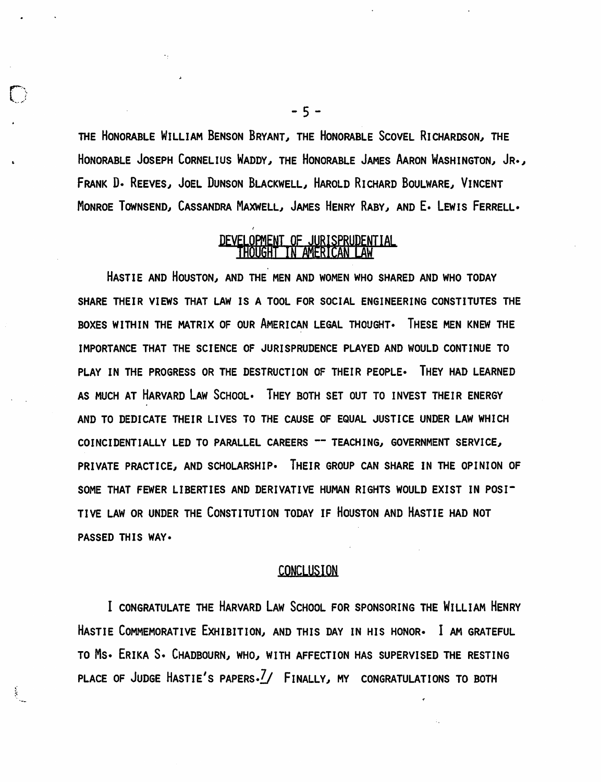THE HONORABLE WILLIAM BENSON BRYANT, THE HONORABLE SCOVEL RICHARDSON, THE HONORABLE JOSEPH CORNELIUS WADDY, THE HONORABLE JAMES AARON WASHINGTON, JR., FRANK D. REEVES, JOEL DUNSON BLACKWELL, HAROLD RICHARD BOULWARE, VINCENT MONROE TOWNSEND, CASSANDRA MAXWELL, JAMES HENRY RABY, AND E. LEWIS FERRELL.

## DEVELOPMENT OF JURISPRUDENTIAL

HASTIE AND HOUSTON, AND THE MEN AND WOMEN WHO SHARED AND WHO TODAY SHARE THEIR VIEWS THAT LAW IS A TOOL FOR SOCIAL ENGINEERING CONSTITUTES THE BOXES WITHIN THE MATRIX OF OUR AMERICAN LEGAL THOUGHT. THESE MEN KNEW THE IMPORTANCE THAT THE SCIENCE OF JURISPRUDENCE PLAYED AND WOULD CONTINUE TO PLAY IN THE PROGRESS OR THE DESTRUCTION OF THEIR PEOPLE. THEY HAD LEARNED AS MUCH AT HARVARD LAW SCHOOL. THEY BOTH SET OUT TO INVEST THEIR ENERGY AND TO DEDICATE THEIR LIVES TO THE CAUSE OF EQUAL JUSTICE UNDER LAW WHICH COINCIDENTIALLY LED TO PARALLEL CAREERS -- TEACHING, GOVERNMENT SERVICE, PRIVATE PRACTICE, AND SCHOLARSHIP. THEIR GROUP CAN SHARE IN THE OPINION OF SOME THAT FEWER LIBERTIES AND DERIVATIVE HUMAN RIGHTS WOULD EXIST IN POSI-TIVE LAW OR UNDER THE CONSTITUTION TODAY IF HOUSTON AND HASTIE HAD NOT PASSED THIS WAY·

#### **CONCLUSION**

I CONGRATULATE THE HARVARD LAW SCHOOL FOR SPONSORING THE WILLIAM HENRY HASTIE COMMEMORATIVE EXHIBITION, AND THIS DAY IN HIS HONOR. I AM GRATEFUL TO MS. ERIKA S. CHADBOURN, WHO, WITH AFFECTION HAS SUPERVISED THE RESTING PLACE OF JUDGE HASTIE'S PAPERS.<sup>7</sup>/ FINALLY, MY CONGRATULATIONS TO BOTH

 $-5 -$ 

 $\bigcap$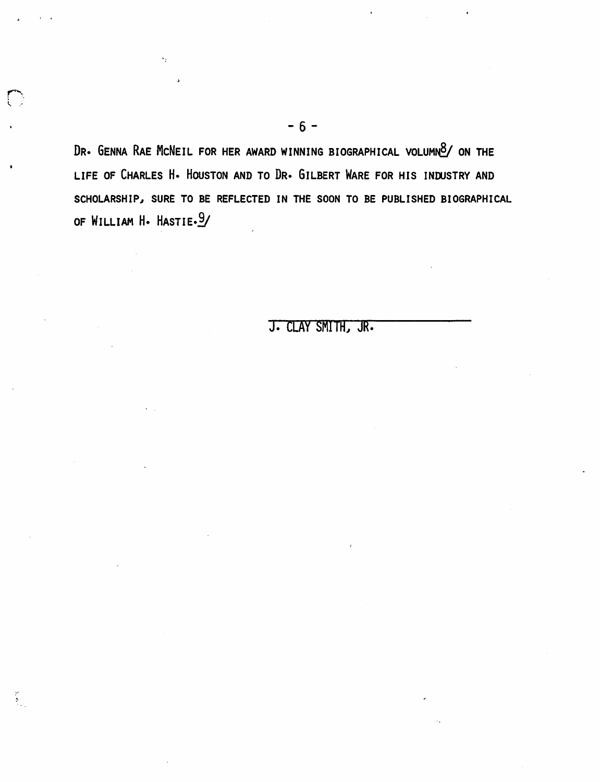DR. GENNA RAE MCNEIL FOR HER AWARD WINNING BIOGRAPHICAL VOLUMNO/ ON THE LIFE OF CHARLES H. HOUSTON AND TO DR. GILBERT WARE FOR HIS INDUSTRY AND SCHOLARSHIP, SURE TO BE REFLECTED IN THE SOON TO BE PUBLISHED BIOGRAPHICAL OF WILLIAM H. HASTIE.9/

## J. CLAY SMITH, JR.

 $\mathbf{t}$